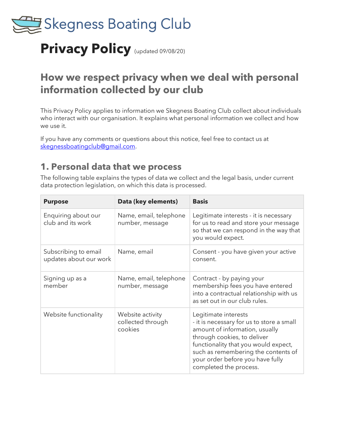

# **Privacy Policy** (updated 09/08/20)

# **How we respect privacy when we deal with personal information collected by our club**

This Privacy Policy applies to information we Skegness Boating Club collect about individuals who interact with our organisation. It explains what personal information we collect and how we use it.

If you have any comments or questions about this notice, feel free to contact us at [skegnessboatingclub@gmail.com.](mailto:skegnessboatingclub@gmail.com)

#### **1. Personal data that we process**

The following table explains the types of data we collect and the legal basis, under current data protection legislation, on which this data is processed.

| <b>Purpose</b>                                 | Data (key elements)                              | <b>Basis</b>                                                                                                                                                                                                                                                                    |
|------------------------------------------------|--------------------------------------------------|---------------------------------------------------------------------------------------------------------------------------------------------------------------------------------------------------------------------------------------------------------------------------------|
| Enquiring about our<br>club and its work       | Name, email, telephone<br>number, message        | Legitimate interests - it is necessary<br>for us to read and store your message<br>so that we can respond in the way that<br>you would expect.                                                                                                                                  |
| Subscribing to email<br>updates about our work | Name, email                                      | Consent - you have given your active<br>consent.                                                                                                                                                                                                                                |
| Signing up as a<br>member                      | Name, email, telephone<br>number, message        | Contract - by paying your<br>membership fees you have entered<br>into a contractual relationship with us<br>as set out in our club rules.                                                                                                                                       |
| Website functionality                          | Website activity<br>collected through<br>cookies | Legitimate interests<br>- it is necessary for us to store a small<br>amount of information, usually<br>through cookies, to deliver<br>functionality that you would expect,<br>such as remembering the contents of<br>your order before you have fully<br>completed the process. |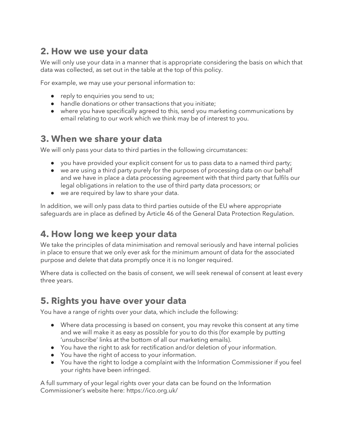## **2. How we use your data**

We will only use your data in a manner that is appropriate considering the basis on which that data was collected, as set out in the table at the top of this policy.

For example, we may use your personal information to:

- reply to enquiries you send to us;
- handle donations or other transactions that you initiate;
- where you have specifically agreed to this, send you marketing communications by email relating to our work which we think may be of interest to you.

#### **3. When we share your data**

We will only pass your data to third parties in the following circumstances:

- you have provided your explicit consent for us to pass data to a named third party;
- we are using a third party purely for the purposes of processing data on our behalf and we have in place a data processing agreement with that third party that fulfils our legal obligations in relation to the use of third party data processors; or
- we are required by law to share your data.

In addition, we will only pass data to third parties outside of the EU where appropriate safeguards are in place as defined by Article 46 of the General Data Protection Regulation.

## **4. How long we keep your data**

We take the principles of data minimisation and removal seriously and have internal policies in place to ensure that we only ever ask for the minimum amount of data for the associated purpose and delete that data promptly once it is no longer required.

Where data is collected on the basis of consent, we will seek renewal of consent at least every three years.

## **5. Rights you have over your data**

You have a range of rights over your data, which include the following:

- Where data processing is based on consent, you may revoke this consent at any time and we will make it as easy as possible for you to do this (for example by putting 'unsubscribe' links at the bottom of all our marketing emails).
- You have the right to ask for rectification and/or deletion of your information.
- You have the right of access to your information.
- You have the right to lodge a complaint with the Information Commissioner if you feel your rights have been infringed.

A full summary of your legal rights over your data can be found on the Information Commissioner's website here: https://ico.org.uk/